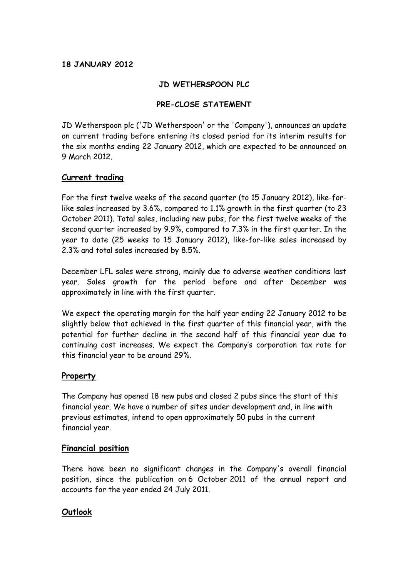# **18 JANUARY 2012**

## **JD WETHERSPOON PLC**

## **PRE-CLOSE STATEMENT**

JD Wetherspoon plc ('JD Wetherspoon' or the 'Company'), announces an update on current trading before entering its closed period for its interim results for the six months ending 22 January 2012, which are expected to be announced on 9 March 2012.

### **Current trading**

For the first twelve weeks of the second quarter (to 15 January 2012), like-forlike sales increased by 3.6%, compared to 1.1% growth in the first quarter (to 23 October 2011). Total sales, including new pubs, for the first twelve weeks of the second quarter increased by 9.9%, compared to 7.3% in the first quarter. In the year to date (25 weeks to 15 January 2012), like-for-like sales increased by 2.3% and total sales increased by 8.5%.

December LFL sales were strong, mainly due to adverse weather conditions last year. Sales growth for the period before and after December was approximately in line with the first quarter.

We expect the operating margin for the half year ending 22 January 2012 to be slightly below that achieved in the first quarter of this financial year, with the potential for further decline in the second half of this financial year due to continuing cost increases. We expect the Company's corporation tax rate for this financial year to be around 29%.

### **Property**

The Company has opened 18 new pubs and closed 2 pubs since the start of this financial year. We have a number of sites under development and, in line with previous estimates, intend to open approximately 50 pubs in the current financial year.

### **Financial position**

There have been no significant changes in the Company's overall financial position, since the publication on 6 October 2011 of the annual report and accounts for the year ended 24 July 2011.

### **Outlook**